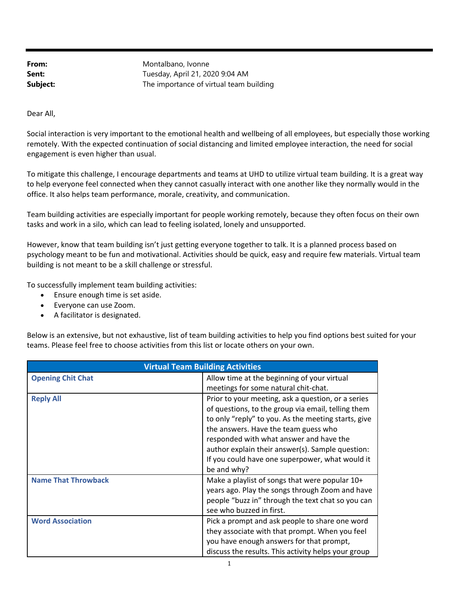From: Montalbano, Ivonne **Sent:** Tuesday, April 21, 2020 9:04 AM **Subject:** The importance of virtual team building

Dear All,

Social interaction is very important to the emotional health and wellbeing of all employees, but especially those working remotely. With the expected continuation of social distancing and limited employee interaction, the need for social engagement is even higher than usual.

To mitigate this challenge, I encourage departments and teams at UHD to utilize virtual team building. It is a great way to help everyone feel connected when they cannot casually interact with one another like they normally would in the office. It also helps team performance, morale, creativity, and communication.

Team building activities are especially important for people working remotely, because they often focus on their own tasks and work in a silo, which can lead to feeling isolated, lonely and unsupported.

However, know that team building isn't just getting everyone together to talk. It is a planned process based on psychology meant to be fun and motivational. Activities should be quick, easy and require few materials. Virtual team building is not meant to be a skill challenge or stressful.

To successfully implement team building activities:

- Ensure enough time is set aside.
- Everyone can use Zoom.
- A facilitator is designated.

Below is an extensive, but not exhaustive, list of team building activities to help you find options best suited for your teams. Please feel free to choose activities from this list or locate others on your own.

| <b>Virtual Team Building Activities</b> |                                                                                                                                                                                                                                                                                                                                                                          |
|-----------------------------------------|--------------------------------------------------------------------------------------------------------------------------------------------------------------------------------------------------------------------------------------------------------------------------------------------------------------------------------------------------------------------------|
| <b>Opening Chit Chat</b>                | Allow time at the beginning of your virtual<br>meetings for some natural chit-chat.                                                                                                                                                                                                                                                                                      |
| <b>Reply All</b>                        | Prior to your meeting, ask a question, or a series<br>of questions, to the group via email, telling them<br>to only "reply" to you. As the meeting starts, give<br>the answers. Have the team guess who<br>responded with what answer and have the<br>author explain their answer(s). Sample question:<br>If you could have one superpower, what would it<br>be and why? |
| <b>Name That Throwback</b>              | Make a playlist of songs that were popular 10+<br>years ago. Play the songs through Zoom and have<br>people "buzz in" through the text chat so you can<br>see who buzzed in first.                                                                                                                                                                                       |
| <b>Word Association</b>                 | Pick a prompt and ask people to share one word<br>they associate with that prompt. When you feel<br>you have enough answers for that prompt,<br>discuss the results. This activity helps your group                                                                                                                                                                      |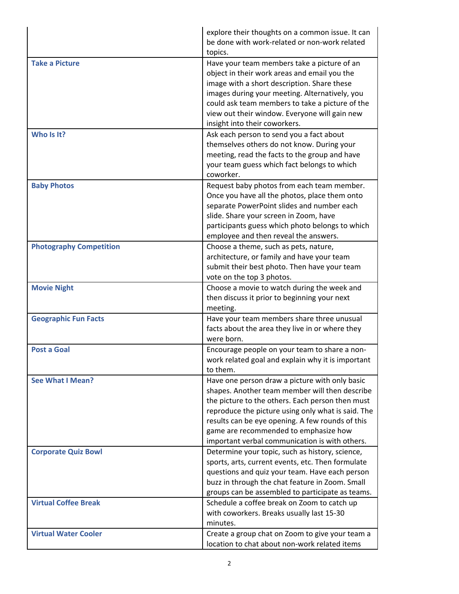|                                | explore their thoughts on a common issue. It can<br>be done with work-related or non-work related<br>topics.                                                                                                                                                                                                                                              |
|--------------------------------|-----------------------------------------------------------------------------------------------------------------------------------------------------------------------------------------------------------------------------------------------------------------------------------------------------------------------------------------------------------|
| <b>Take a Picture</b>          | Have your team members take a picture of an<br>object in their work areas and email you the<br>image with a short description. Share these<br>images during your meeting. Alternatively, you<br>could ask team members to take a picture of the<br>view out their window. Everyone will gain new<br>insight into their coworkers.                         |
| Who Is It?                     | Ask each person to send you a fact about<br>themselves others do not know. During your<br>meeting, read the facts to the group and have<br>your team guess which fact belongs to which<br>coworker.                                                                                                                                                       |
| <b>Baby Photos</b>             | Request baby photos from each team member.<br>Once you have all the photos, place them onto<br>separate PowerPoint slides and number each<br>slide. Share your screen in Zoom, have<br>participants guess which photo belongs to which<br>employee and then reveal the answers.                                                                           |
| <b>Photography Competition</b> | Choose a theme, such as pets, nature,<br>architecture, or family and have your team<br>submit their best photo. Then have your team<br>vote on the top 3 photos.                                                                                                                                                                                          |
| <b>Movie Night</b>             | Choose a movie to watch during the week and<br>then discuss it prior to beginning your next<br>meeting.                                                                                                                                                                                                                                                   |
| <b>Geographic Fun Facts</b>    | Have your team members share three unusual<br>facts about the area they live in or where they<br>were born.                                                                                                                                                                                                                                               |
| <b>Post a Goal</b>             | Encourage people on your team to share a non-<br>work related goal and explain why it is important<br>to them.                                                                                                                                                                                                                                            |
| <b>See What I Mean?</b>        | Have one person draw a picture with only basic<br>shapes. Another team member will then describe<br>the picture to the others. Each person then must<br>reproduce the picture using only what is said. The<br>results can be eye opening. A few rounds of this<br>game are recommended to emphasize how<br>important verbal communication is with others. |
| <b>Corporate Quiz Bowl</b>     | Determine your topic, such as history, science,<br>sports, arts, current events, etc. Then formulate<br>questions and quiz your team. Have each person<br>buzz in through the chat feature in Zoom. Small<br>groups can be assembled to participate as teams.                                                                                             |
| <b>Virtual Coffee Break</b>    | Schedule a coffee break on Zoom to catch up<br>with coworkers. Breaks usually last 15-30<br>minutes.                                                                                                                                                                                                                                                      |
| <b>Virtual Water Cooler</b>    | Create a group chat on Zoom to give your team a<br>location to chat about non-work related items                                                                                                                                                                                                                                                          |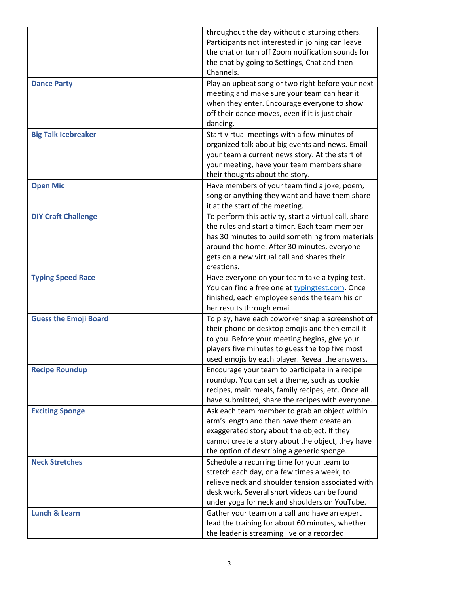|                              | throughout the day without disturbing others.<br>Participants not interested in joining can leave<br>the chat or turn off Zoom notification sounds for<br>the chat by going to Settings, Chat and then<br>Channels.                                                    |
|------------------------------|------------------------------------------------------------------------------------------------------------------------------------------------------------------------------------------------------------------------------------------------------------------------|
| <b>Dance Party</b>           | Play an upbeat song or two right before your next<br>meeting and make sure your team can hear it<br>when they enter. Encourage everyone to show<br>off their dance moves, even if it is just chair<br>dancing.                                                         |
| <b>Big Talk Icebreaker</b>   | Start virtual meetings with a few minutes of<br>organized talk about big events and news. Email<br>your team a current news story. At the start of<br>your meeting, have your team members share<br>their thoughts about the story.                                    |
| <b>Open Mic</b>              | Have members of your team find a joke, poem,<br>song or anything they want and have them share<br>it at the start of the meeting.                                                                                                                                      |
| <b>DIY Craft Challenge</b>   | To perform this activity, start a virtual call, share<br>the rules and start a timer. Each team member<br>has 30 minutes to build something from materials<br>around the home. After 30 minutes, everyone<br>gets on a new virtual call and shares their<br>creations. |
| <b>Typing Speed Race</b>     | Have everyone on your team take a typing test.<br>You can find a free one at typingtest.com. Once<br>finished, each employee sends the team his or<br>her results through email.                                                                                       |
| <b>Guess the Emoji Board</b> | To play, have each coworker snap a screenshot of<br>their phone or desktop emojis and then email it<br>to you. Before your meeting begins, give your<br>players five minutes to guess the top five most<br>used emojis by each player. Reveal the answers.             |
| <b>Recipe Roundup</b>        | Encourage your team to participate in a recipe<br>roundup. You can set a theme, such as cookie<br>recipes, main meals, family recipes, etc. Once all<br>have submitted, share the recipes with everyone.                                                               |
| <b>Exciting Sponge</b>       | Ask each team member to grab an object within<br>arm's length and then have them create an<br>exaggerated story about the object. If they<br>cannot create a story about the object, they have<br>the option of describing a generic sponge.                           |
| <b>Neck Stretches</b>        | Schedule a recurring time for your team to<br>stretch each day, or a few times a week, to<br>relieve neck and shoulder tension associated with<br>desk work. Several short videos can be found<br>under yoga for neck and shoulders on YouTube.                        |
| <b>Lunch &amp; Learn</b>     | Gather your team on a call and have an expert<br>lead the training for about 60 minutes, whether<br>the leader is streaming live or a recorded                                                                                                                         |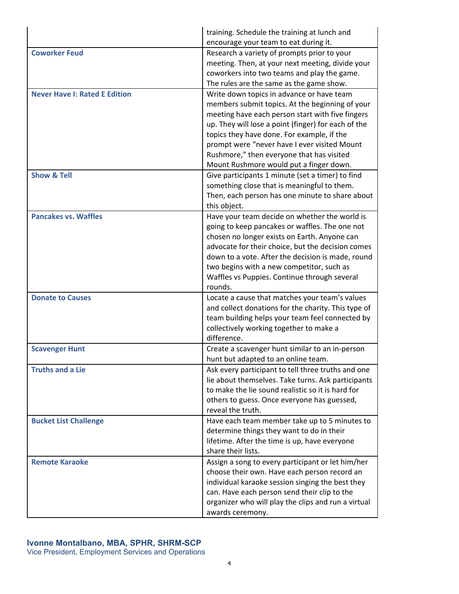|                                      | training. Schedule the training at lunch and<br>encourage your team to eat during it.                                                                                                                                                                                                                                                                                                         |
|--------------------------------------|-----------------------------------------------------------------------------------------------------------------------------------------------------------------------------------------------------------------------------------------------------------------------------------------------------------------------------------------------------------------------------------------------|
| <b>Coworker Feud</b>                 | Research a variety of prompts prior to your<br>meeting. Then, at your next meeting, divide your<br>coworkers into two teams and play the game.<br>The rules are the same as the game show.                                                                                                                                                                                                    |
| <b>Never Have I: Rated E Edition</b> | Write down topics in advance or have team<br>members submit topics. At the beginning of your<br>meeting have each person start with five fingers<br>up. They will lose a point (finger) for each of the<br>topics they have done. For example, if the<br>prompt were "never have I ever visited Mount<br>Rushmore," then everyone that has visited<br>Mount Rushmore would put a finger down. |
| <b>Show &amp; Tell</b>               | Give participants 1 minute (set a timer) to find<br>something close that is meaningful to them.<br>Then, each person has one minute to share about<br>this object.                                                                                                                                                                                                                            |
| <b>Pancakes vs. Waffles</b>          | Have your team decide on whether the world is<br>going to keep pancakes or waffles. The one not<br>chosen no longer exists on Earth. Anyone can<br>advocate for their choice, but the decision comes<br>down to a vote. After the decision is made, round<br>two begins with a new competitor, such as<br>Waffles vs Puppies. Continue through several<br>rounds.                             |
| <b>Donate to Causes</b>              | Locate a cause that matches your team's values<br>and collect donations for the charity. This type of<br>team building helps your team feel connected by<br>collectively working together to make a<br>difference.                                                                                                                                                                            |
| <b>Scavenger Hunt</b>                | Create a scavenger hunt similar to an in-person<br>hunt but adapted to an online team.                                                                                                                                                                                                                                                                                                        |
| <b>Truths and a Lie</b>              | Ask every participant to tell three truths and one<br>lie about themselves. Take turns. Ask participants<br>to make the lie sound realistic so it is hard for<br>others to guess. Once everyone has guessed,<br>reveal the truth.                                                                                                                                                             |
| <b>Bucket List Challenge</b>         | Have each team member take up to 5 minutes to<br>determine things they want to do in their<br>lifetime. After the time is up, have everyone<br>share their lists.                                                                                                                                                                                                                             |
| <b>Remote Karaoke</b>                | Assign a song to every participant or let him/her<br>choose their own. Have each person record an<br>individual karaoke session singing the best they<br>can. Have each person send their clip to the<br>organizer who will play the clips and run a virtual<br>awards ceremony.                                                                                                              |